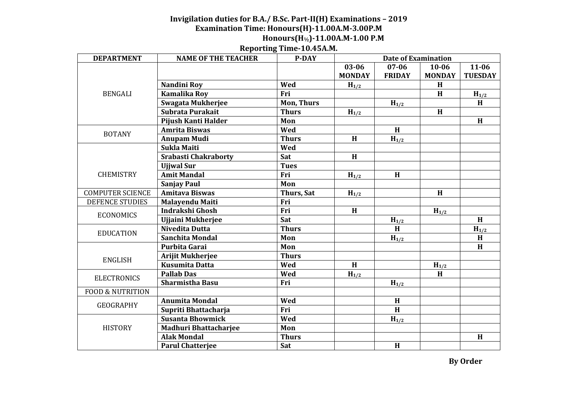## **Invigilation duties for B.A./ B.Sc. Part-II(H) Examinations – 2019 Examination Time: Honours(H)-11.00A.M-3.00P.M Honours(H½)-11.00A.M-1.00 P.M**

## **Reporting Time-10.45A.M.**

| <b>DEPARTMENT</b>           | <b>NAME OF THE TEACHER</b>   | <b>P-DAY</b>      | <b>Date of Examination</b> |               |               |                |
|-----------------------------|------------------------------|-------------------|----------------------------|---------------|---------------|----------------|
| <b>BENGALI</b>              |                              |                   | 03-06                      | $07 - 06$     | $10 - 06$     | $11 - 06$      |
|                             |                              |                   | <b>MONDAY</b>              | <b>FRIDAY</b> | <b>MONDAY</b> | <b>TUESDAY</b> |
|                             | Nandini Roy                  | Wed               | $H_{1/2}$                  |               | H             |                |
|                             | <b>Kamalika Roy</b>          | Fri               |                            |               | H             | $H_{1/2}$      |
|                             | Swagata Mukherjee            | <b>Mon, Thurs</b> |                            | $H_{1/2}$     |               | H              |
|                             | Subrata Purakait             | <b>Thurs</b>      | $H_{1/2}$                  |               | H             |                |
|                             | Pijush Kanti Halder          | Mon               |                            |               |               | H              |
| <b>BOTANY</b>               | <b>Amrita Biswas</b>         | Wed               |                            | H             |               |                |
|                             | <b>Anupam Mudi</b>           | <b>Thurs</b>      | H                          | $H_{1/2}$     |               |                |
|                             | Sukla Maiti                  | Wed               |                            |               |               |                |
|                             | <b>Srabasti Chakraborty</b>  | Sat               | H                          |               |               |                |
|                             | <b>Ujiwal Sur</b>            | <b>Tues</b>       |                            |               |               |                |
| <b>CHEMISTRY</b>            | <b>Amit Mandal</b>           | Fri               | $H_{1/2}$                  | H             |               |                |
|                             | <b>Sanjay Paul</b>           | Mon               |                            |               |               |                |
| <b>COMPUTER SCIENCE</b>     | <b>Amitava Biswas</b>        | Thurs, Sat        | $H_{1/2}$                  |               | H             |                |
| <b>DEFENCE STUDIES</b>      | <b>Malayendu Maiti</b>       | Fri               |                            |               |               |                |
|                             | Indrakshi Ghosh              | Fri               | H                          |               | $H_{1/2}$     |                |
| <b>ECONOMICS</b>            | Ujjaini Mukherjee            | Sat               |                            | $H_{1/2}$     |               | H              |
| <b>EDUCATION</b>            | Nivedita Dutta               | <b>Thurs</b>      |                            | H             |               | $H_{1/2}$      |
|                             | <b>Sanchita Mondal</b>       | Mon               |                            | $H_{1/2}$     |               | $\mathbf H$    |
| <b>ENGLISH</b>              | Purbita Garai                | Mon               |                            |               |               | $\overline{H}$ |
|                             | <b>Arijit Mukherjee</b>      | <b>Thurs</b>      |                            |               |               |                |
|                             | <b>Kusumita Datta</b>        | Wed               | H                          |               | $H_{1/2}$     |                |
| <b>ELECTRONICS</b>          | <b>Pallab Das</b>            | Wed               | $H_{1/2}$                  |               | H             |                |
|                             | <b>Sharmistha Basu</b>       | Fri               |                            | $H_{1/2}$     |               |                |
| <b>FOOD &amp; NUTRITION</b> |                              |                   |                            |               |               |                |
| <b>GEOGRAPHY</b>            | <b>Anumita Mondal</b>        | Wed               |                            | H             |               |                |
|                             | Supriti Bhattacharja         | Fri               |                            | H             |               |                |
| <b>HISTORY</b>              | <b>Susanta Bhowmick</b>      | Wed               |                            | $H_{1/2}$     |               |                |
|                             | <b>Madhuri Bhattacharjee</b> | Mon               |                            |               |               |                |
|                             | <b>Alak Mondal</b>           | <b>Thurs</b>      |                            |               |               | H              |
|                             | <b>Parul Chatterjee</b>      | Sat               |                            | H             |               |                |

**By Order**